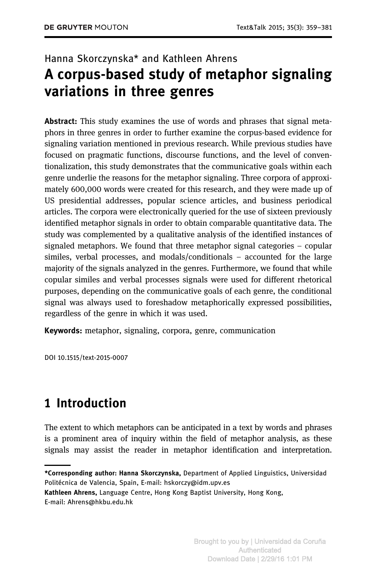# Hanna Skorczynska\* and Kathleen Ahrens A corpus-based study of metaphor signaling variations in three genres

**Abstract:** This study examines the use of words and phrases that signal metaphors in three genres in order to further examine the corpus-based evidence for signaling variation mentioned in previous research. While previous studies have focused on pragmatic functions, discourse functions, and the level of conventionalization, this study demonstrates that the communicative goals within each genre underlie the reasons for the metaphor signaling. Three corpora of approximately 600,000 words were created for this research, and they were made up of US presidential addresses, popular science articles, and business periodical articles. The corpora were electronically queried for the use of sixteen previously identified metaphor signals in order to obtain comparable quantitative data. The study was complemented by a qualitative analysis of the identified instances of signaled metaphors. We found that three metaphor signal categories – copular similes, verbal processes, and modals/conditionals – accounted for the large majority of the signals analyzed in the genres. Furthermore, we found that while copular similes and verbal processes signals were used for different rhetorical purposes, depending on the communicative goals of each genre, the conditional signal was always used to foreshadow metaphorically expressed possibilities, regardless of the genre in which it was used.

Keywords: metaphor, signaling, corpora, genre, communication

DOI 10.1515/text-2015-0007

# 1 Introduction

The extent to which metaphors can be anticipated in a text by words and phrases is a prominent area of inquiry within the field of metaphor analysis, as these signals may assist the reader in metaphor identification and interpretation.

Kathleen Ahrens, Language Centre, Hong Kong Baptist University, Hong Kong, E-mail: Ahrens@hkbu.edu.hk

<sup>\*</sup>Corresponding author: Hanna Skorczynska, Department of Applied Linguistics, Universidad Politécnica de Valencia, Spain, E-mail: hskorczy@idm.upv.es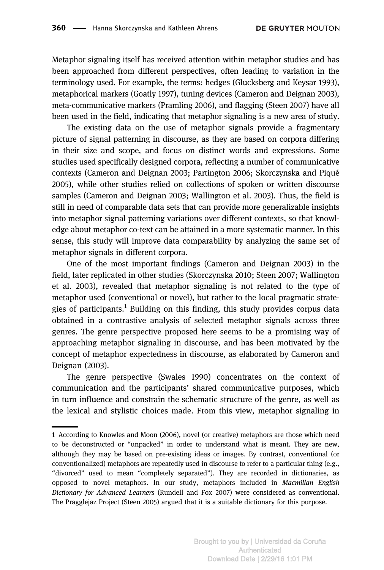Metaphor signaling itself has received attention within metaphor studies and has been approached from different perspectives, often leading to variation in the terminology used. For example, the terms: hedges (Glucksberg and Keysar 1993), metaphorical markers (Goatly 1997), tuning devices (Cameron and Deignan 2003), meta-communicative markers (Pramling 2006), and flagging (Steen 2007) have all been used in the field, indicating that metaphor signaling is a new area of study.

The existing data on the use of metaphor signals provide a fragmentary picture of signal patterning in discourse, as they are based on corpora differing in their size and scope, and focus on distinct words and expressions. Some studies used specifically designed corpora, reflecting a number of communicative contexts (Cameron and Deignan 2003; Partington 2006; Skorczynska and Piqué 2005), while other studies relied on collections of spoken or written discourse samples (Cameron and Deignan 2003; Wallington et al. 2003). Thus, the field is still in need of comparable data sets that can provide more generalizable insights into metaphor signal patterning variations over different contexts, so that knowledge about metaphor co-text can be attained in a more systematic manner. In this sense, this study will improve data comparability by analyzing the same set of metaphor signals in different corpora.

One of the most important findings (Cameron and Deignan 2003) in the field, later replicated in other studies (Skorczynska 2010; Steen 2007; Wallington et al. 2003), revealed that metaphor signaling is not related to the type of metaphor used (conventional or novel), but rather to the local pragmatic strategies of participants.<sup>1</sup> Building on this finding, this study provides corpus data obtained in a contrastive analysis of selected metaphor signals across three genres. The genre perspective proposed here seems to be a promising way of approaching metaphor signaling in discourse, and has been motivated by the concept of metaphor expectedness in discourse, as elaborated by Cameron and Deignan (2003).

The genre perspective (Swales 1990) concentrates on the context of communication and the participants' shared communicative purposes, which in turn influence and constrain the schematic structure of the genre, as well as the lexical and stylistic choices made. From this view, metaphor signaling in

<sup>1</sup> According to Knowles and Moon (2006), novel (or creative) metaphors are those which need to be deconstructed or "unpacked" in order to understand what is meant. They are new, although they may be based on pre-existing ideas or images. By contrast, conventional (or conventionalized) metaphors are repeatedly used in discourse to refer to a particular thing (e.g., "divorced" used to mean "completely separated"). They are recorded in dictionaries, as opposed to novel metaphors. In our study, metaphors included in Macmillan English Dictionary for Advanced Learners (Rundell and Fox 2007) were considered as conventional. The Pragglejaz Project (Steen 2005) argued that it is a suitable dictionary for this purpose.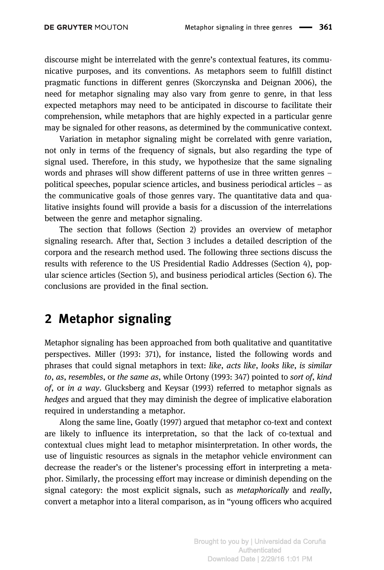discourse might be interrelated with the genre's contextual features, its communicative purposes, and its conventions. As metaphors seem to fulfill distinct pragmatic functions in different genres (Skorczynska and Deignan 2006), the need for metaphor signaling may also vary from genre to genre, in that less expected metaphors may need to be anticipated in discourse to facilitate their comprehension, while metaphors that are highly expected in a particular genre may be signaled for other reasons, as determined by the communicative context.

Variation in metaphor signaling might be correlated with genre variation, not only in terms of the frequency of signals, but also regarding the type of signal used. Therefore, in this study, we hypothesize that the same signaling words and phrases will show different patterns of use in three written genres – political speeches, popular science articles, and business periodical articles – as the communicative goals of those genres vary. The quantitative data and qualitative insights found will provide a basis for a discussion of the interrelations between the genre and metaphor signaling.

The section that follows (Section 2) provides an overview of metaphor signaling research. After that, Section 3 includes a detailed description of the corpora and the research method used. The following three sections discuss the results with reference to the US Presidential Radio Addresses (Section 4), popular science articles (Section 5), and business periodical articles (Section 6). The conclusions are provided in the final section.

## 2 Metaphor signaling

Metaphor signaling has been approached from both qualitative and quantitative perspectives. Miller (1993: 371), for instance, listed the following words and phrases that could signal metaphors in text: like, acts like, looks like, is similar to, as, resembles, or the same as, while Ortony (1993: 347) pointed to sort of, kind of, or in a way. Glucksberg and Keysar  $(1993)$  referred to metaphor signals as hedges and argued that they may diminish the degree of implicative elaboration required in understanding a metaphor.

Along the same line, Goatly (1997) argued that metaphor co-text and context are likely to influence its interpretation, so that the lack of co-textual and contextual clues might lead to metaphor misinterpretation. In other words, the use of linguistic resources as signals in the metaphor vehicle environment can decrease the reader's or the listener's processing effort in interpreting a metaphor. Similarly, the processing effort may increase or diminish depending on the signal category: the most explicit signals, such as *metaphorically* and *really*, convert a metaphor into a literal comparison, as in "young officers who acquired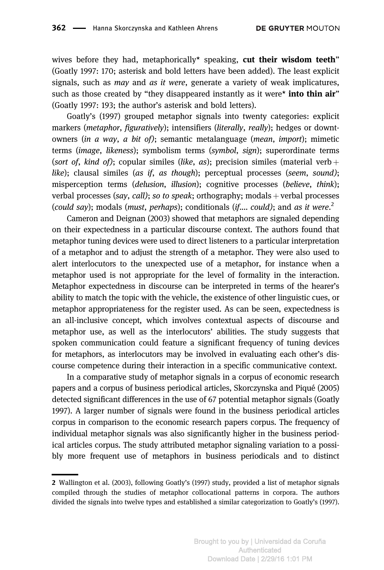wives before they had, metaphorically\* speaking, cut their wisdom teeth" (Goatly 1997: 170; asterisk and bold letters have been added). The least explicit signals, such as *may* and *as it were*, generate a variety of weak implicatures, such as those created by "they disappeared instantly as it were $\star$  into thin air" (Goatly 1997: 193; the author's asterisk and bold letters).

Goatly's (1997) grouped metaphor signals into twenty categories: explicit markers (*metaphor, figuratively*); intensifiers (*literally, really*); hedges or downtowners (in a way, a bit of); semantic metalanguage (mean, import); mimetic terms (image, likeness); symbolism terms (symbol, sign); superordinate terms (sort of, kind of); copular similes (like, as); precision similes (material verb + like); clausal similes (as if, as though); perceptual processes (seem, sound); misperception terms (delusion, illusion); cognitive processes (believe, think); verbal processes (say, call); so to speak; orthography; modals  $+$  verbal processes (could say); modals (must, perhaps); conditionals (if.... could); and as it were.<sup>2</sup>

Cameron and Deignan (2003) showed that metaphors are signaled depending on their expectedness in a particular discourse context. The authors found that metaphor tuning devices were used to direct listeners to a particular interpretation of a metaphor and to adjust the strength of a metaphor. They were also used to alert interlocutors to the unexpected use of a metaphor, for instance when a metaphor used is not appropriate for the level of formality in the interaction. Metaphor expectedness in discourse can be interpreted in terms of the hearer's ability to match the topic with the vehicle, the existence of other linguistic cues, or metaphor appropriateness for the register used. As can be seen, expectedness is an all-inclusive concept, which involves contextual aspects of discourse and metaphor use, as well as the interlocutors' abilities. The study suggests that spoken communication could feature a significant frequency of tuning devices for metaphors, as interlocutors may be involved in evaluating each other's discourse competence during their interaction in a specific communicative context.

In a comparative study of metaphor signals in a corpus of economic research papers and a corpus of business periodical articles, Skorczynska and Piqué (2005) detected significant differences in the use of 67 potential metaphor signals (Goatly 1997). A larger number of signals were found in the business periodical articles corpus in comparison to the economic research papers corpus. The frequency of individual metaphor signals was also significantly higher in the business periodical articles corpus. The study attributed metaphor signaling variation to a possibly more frequent use of metaphors in business periodicals and to distinct

<sup>2</sup> Wallington et al. (2003), following Goatly's (1997) study, provided a list of metaphor signals compiled through the studies of metaphor collocational patterns in corpora. The authors divided the signals into twelve types and established a similar categorization to Goatly's (1997).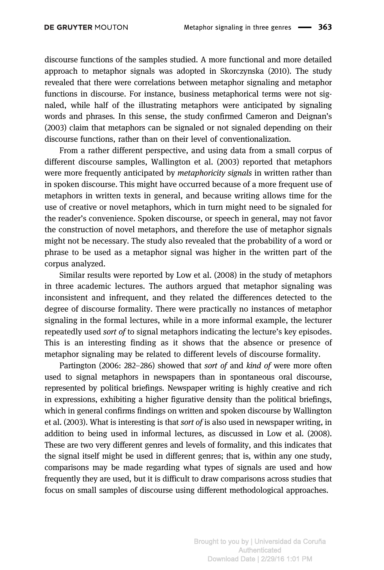discourse functions of the samples studied. A more functional and more detailed approach to metaphor signals was adopted in Skorczynska (2010). The study revealed that there were correlations between metaphor signaling and metaphor functions in discourse. For instance, business metaphorical terms were not signaled, while half of the illustrating metaphors were anticipated by signaling words and phrases. In this sense, the study confirmed Cameron and Deignan's (2003) claim that metaphors can be signaled or not signaled depending on their discourse functions, rather than on their level of conventionalization.

From a rather different perspective, and using data from a small corpus of different discourse samples, Wallington et al. (2003) reported that metaphors were more frequently anticipated by *metaphoricity signals* in written rather than in spoken discourse. This might have occurred because of a more frequent use of metaphors in written texts in general, and because writing allows time for the use of creative or novel metaphors, which in turn might need to be signaled for the reader's convenience. Spoken discourse, or speech in general, may not favor the construction of novel metaphors, and therefore the use of metaphor signals might not be necessary. The study also revealed that the probability of a word or phrase to be used as a metaphor signal was higher in the written part of the corpus analyzed.

Similar results were reported by Low et al. (2008) in the study of metaphors in three academic lectures. The authors argued that metaphor signaling was inconsistent and infrequent, and they related the differences detected to the degree of discourse formality. There were practically no instances of metaphor signaling in the formal lectures, while in a more informal example, the lecturer repeatedly used *sort of* to signal metaphors indicating the lecture's key episodes. This is an interesting finding as it shows that the absence or presence of metaphor signaling may be related to different levels of discourse formality.

Partington (2006: 282–286) showed that sort of and kind of were more often used to signal metaphors in newspapers than in spontaneous oral discourse, represented by political briefings. Newspaper writing is highly creative and rich in expressions, exhibiting a higher figurative density than the political briefings, which in general confirms findings on written and spoken discourse by Wallington et al. (2003). What is interesting is that sort of is also used in newspaper writing, in addition to being used in informal lectures, as discussed in Low et al. (2008). These are two very different genres and levels of formality, and this indicates that the signal itself might be used in different genres; that is, within any one study, comparisons may be made regarding what types of signals are used and how frequently they are used, but it is difficult to draw comparisons across studies that focus on small samples of discourse using different methodological approaches.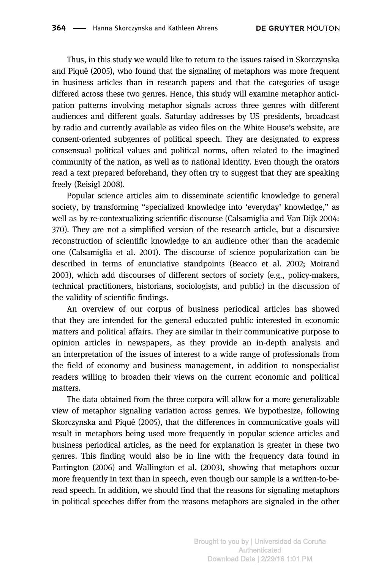Thus, in this study we would like to return to the issues raised in Skorczynska and Piqué (2005), who found that the signaling of metaphors was more frequent in business articles than in research papers and that the categories of usage differed across these two genres. Hence, this study will examine metaphor anticipation patterns involving metaphor signals across three genres with different audiences and different goals. Saturday addresses by US presidents, broadcast by radio and currently available as video files on the White House's website, are consent-oriented subgenres of political speech. They are designated to express consensual political values and political norms, often related to the imagined community of the nation, as well as to national identity. Even though the orators read a text prepared beforehand, they often try to suggest that they are speaking freely (Reisigl 2008).

Popular science articles aim to disseminate scientific knowledge to general society, by transforming "specialized knowledge into 'everyday' knowledge," as well as by re-contextualizing scientific discourse (Calsamiglia and Van Dijk 2004: 370). They are not a simplified version of the research article, but a discursive reconstruction of scientific knowledge to an audience other than the academic one (Calsamiglia et al. 2001). The discourse of science popularization can be described in terms of enunciative standpoints (Beacco et al. 2002; Moirand 2003), which add discourses of different sectors of society (e.g., policy-makers, technical practitioners, historians, sociologists, and public) in the discussion of the validity of scientific findings.

An overview of our corpus of business periodical articles has showed that they are intended for the general educated public interested in economic matters and political affairs. They are similar in their communicative purpose to opinion articles in newspapers, as they provide an in-depth analysis and an interpretation of the issues of interest to a wide range of professionals from the field of economy and business management, in addition to nonspecialist readers willing to broaden their views on the current economic and political matters.

The data obtained from the three corpora will allow for a more generalizable view of metaphor signaling variation across genres. We hypothesize, following Skorczynska and Piqué (2005), that the differences in communicative goals will result in metaphors being used more frequently in popular science articles and business periodical articles, as the need for explanation is greater in these two genres. This finding would also be in line with the frequency data found in Partington (2006) and Wallington et al. (2003), showing that metaphors occur more frequently in text than in speech, even though our sample is a written-to-beread speech. In addition, we should find that the reasons for signaling metaphors in political speeches differ from the reasons metaphors are signaled in the other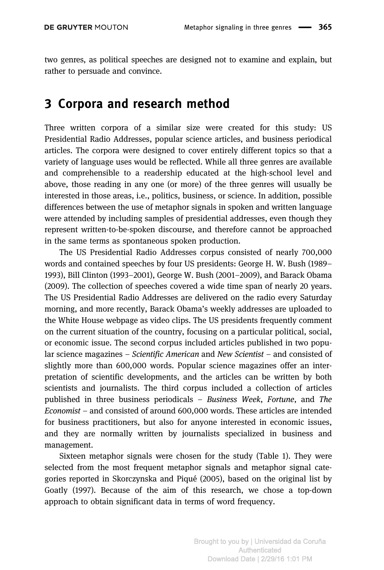two genres, as political speeches are designed not to examine and explain, but rather to persuade and convince.

## 3 Corpora and research method

Three written corpora of a similar size were created for this study: US Presidential Radio Addresses, popular science articles, and business periodical articles. The corpora were designed to cover entirely different topics so that a variety of language uses would be reflected. While all three genres are available and comprehensible to a readership educated at the high-school level and above, those reading in any one (or more) of the three genres will usually be interested in those areas, i.e., politics, business, or science. In addition, possible differences between the use of metaphor signals in spoken and written language were attended by including samples of presidential addresses, even though they represent written-to-be-spoken discourse, and therefore cannot be approached in the same terms as spontaneous spoken production.

The US Presidential Radio Addresses corpus consisted of nearly 700,000 words and contained speeches by four US presidents: George H. W. Bush (1989– 1993), Bill Clinton (1993–2001), George W. Bush (2001–2009), and Barack Obama (2009). The collection of speeches covered a wide time span of nearly 20 years. The US Presidential Radio Addresses are delivered on the radio every Saturday morning, and more recently, Barack Obama's weekly addresses are uploaded to the White House webpage as video clips. The US presidents frequently comment on the current situation of the country, focusing on a particular political, social, or economic issue. The second corpus included articles published in two popular science magazines – Scientific American and New Scientist – and consisted of slightly more than 600,000 words. Popular science magazines offer an interpretation of scientific developments, and the articles can be written by both scientists and journalists. The third corpus included a collection of articles published in three business periodicals – Business Week, Fortune, and The Economist – and consisted of around 600,000 words. These articles are intended for business practitioners, but also for anyone interested in economic issues, and they are normally written by journalists specialized in business and management.

Sixteen metaphor signals were chosen for the study (Table 1). They were selected from the most frequent metaphor signals and metaphor signal categories reported in Skorczynska and Piqué (2005), based on the original list by Goatly (1997). Because of the aim of this research, we chose a top-down approach to obtain significant data in terms of word frequency.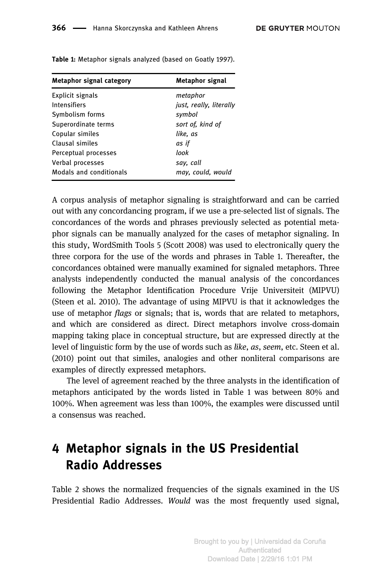| <b>Metaphor signal category</b> | Metaphor signal         |
|---------------------------------|-------------------------|
| Explicit signals                | metaphor                |
| Intensifiers                    | just, really, literally |
| Symbolism forms                 | symbol                  |
| Superordinate terms             | sort of, kind of        |
| Copular similes                 | like, as                |
| Clausal similes                 | as if                   |
| Perceptual processes            | look                    |
| Verbal processes                | sav. call               |
| Modals and conditionals         | may, could, would       |

Table 1: Metaphor signals analyzed (based on Goatly 1997).

A corpus analysis of metaphor signaling is straightforward and can be carried out with any concordancing program, if we use a pre-selected list of signals. The concordances of the words and phrases previously selected as potential metaphor signals can be manually analyzed for the cases of metaphor signaling. In this study, WordSmith Tools 5 (Scott 2008) was used to electronically query the three corpora for the use of the words and phrases in Table 1. Thereafter, the concordances obtained were manually examined for signaled metaphors. Three analysts independently conducted the manual analysis of the concordances following the Metaphor Identification Procedure Vrije Universiteit (MIPVU) (Steen et al. 2010). The advantage of using MIPVU is that it acknowledges the use of metaphor flags or signals; that is, words that are related to metaphors, and which are considered as direct. Direct metaphors involve cross-domain mapping taking place in conceptual structure, but are expressed directly at the level of linguistic form by the use of words such as *like*, *as*, *seem*, etc. Steen et al. (2010) point out that similes, analogies and other nonliteral comparisons are examples of directly expressed metaphors.

The level of agreement reached by the three analysts in the identification of metaphors anticipated by the words listed in Table 1 was between 80% and 100%. When agreement was less than 100%, the examples were discussed until a consensus was reached.

# 4 Metaphor signals in the US Presidential Radio Addresses

Table 2 shows the normalized frequencies of the signals examined in the US Presidential Radio Addresses. Would was the most frequently used signal,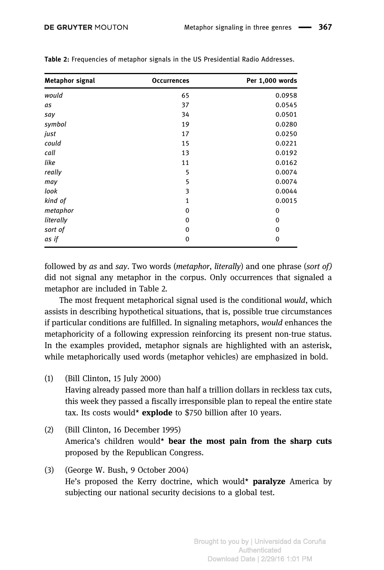| Metaphor signal | <b>Occurrences</b> | Per 1,000 words |
|-----------------|--------------------|-----------------|
| would           | 65                 | 0.0958          |
| as              | 37                 | 0.0545          |
| say             | 34                 | 0.0501          |
| symbol          | 19                 | 0.0280          |
| just            | 17                 | 0.0250          |
| could           | 15                 | 0.0221          |
| call            | 13                 | 0.0192          |
| like            | 11                 | 0.0162          |
| really          | 5                  | 0.0074          |
| may             | 5                  | 0.0074          |
| look            | 3                  | 0.0044          |
| kind of         | $\mathbf{1}$       | 0.0015          |
| metaphor        | 0                  | $\mathbf 0$     |
| literally       | 0                  | $\mathbf 0$     |
| sort of         | 0                  | 0               |
| as if           | 0                  | $\mathbf 0$     |

Table 2: Frequencies of metaphor signals in the US Presidential Radio Addresses.

followed by as and say. Two words (metaphor, literally) and one phrase (sort of) did not signal any metaphor in the corpus. Only occurrences that signaled a metaphor are included in Table 2.

The most frequent metaphorical signal used is the conditional would, which assists in describing hypothetical situations, that is, possible true circumstances if particular conditions are fulfilled. In signaling metaphors, would enhances the metaphoricity of a following expression reinforcing its present non-true status. In the examples provided, metaphor signals are highlighted with an asterisk, while metaphorically used words (metaphor vehicles) are emphasized in bold.

(1) (Bill Clinton, 15 July 2000)

Having already passed more than half a trillion dollars in reckless tax cuts, this week they passed a fiscally irresponsible plan to repeal the entire state tax. Its costs would\* explode to \$750 billion after 10 years.

- (2) (Bill Clinton, 16 December 1995) America's children would\* bear the most pain from the sharp cuts proposed by the Republican Congress.
- (3) (George W. Bush, 9 October 2004) He's proposed the Kerry doctrine, which would\* **paralyze** America by subjecting our national security decisions to a global test.

Brought to you by | Universidad da Coruña Authenticated Download Date | 2/29/16 1:01 PM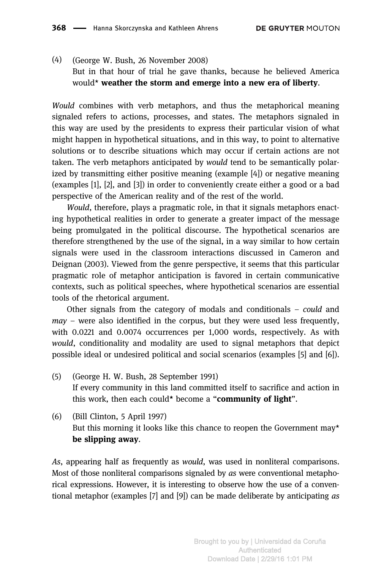(4) (George W. Bush, 26 November 2008) But in that hour of trial he gave thanks, because he believed America would\* weather the storm and emerge into a new era of liberty.

Would combines with verb metaphors, and thus the metaphorical meaning signaled refers to actions, processes, and states. The metaphors signaled in this way are used by the presidents to express their particular vision of what might happen in hypothetical situations, and in this way, to point to alternative solutions or to describe situations which may occur if certain actions are not taken. The verb metaphors anticipated by would tend to be semantically polarized by transmitting either positive meaning (example [4]) or negative meaning (examples [1], [2], and [3]) in order to conveniently create either a good or a bad perspective of the American reality and of the rest of the world.

Would, therefore, plays a pragmatic role, in that it signals metaphors enacting hypothetical realities in order to generate a greater impact of the message being promulgated in the political discourse. The hypothetical scenarios are therefore strengthened by the use of the signal, in a way similar to how certain signals were used in the classroom interactions discussed in Cameron and Deignan (2003). Viewed from the genre perspective, it seems that this particular pragmatic role of metaphor anticipation is favored in certain communicative contexts, such as political speeches, where hypothetical scenarios are essential tools of the rhetorical argument.

Other signals from the category of modals and conditionals – could and  $may$  – were also identified in the corpus, but they were used less frequently, with 0.0221 and 0.0074 occurrences per 1,000 words, respectively. As with would, conditionality and modality are used to signal metaphors that depict possible ideal or undesired political and social scenarios (examples [5] and [6]).

- (5) (George H. W. Bush, 28 September 1991) If every community in this land committed itself to sacrifice and action in this work, then each could\* become a "community of light".
- (6) (Bill Clinton, 5 April 1997) But this morning it looks like this chance to reopen the Government may\* be slipping away.

As, appearing half as frequently as would, was used in nonliteral comparisons. Most of those nonliteral comparisons signaled by as were conventional metaphorical expressions. However, it is interesting to observe how the use of a conventional metaphor (examples [7] and [9]) can be made deliberate by anticipating as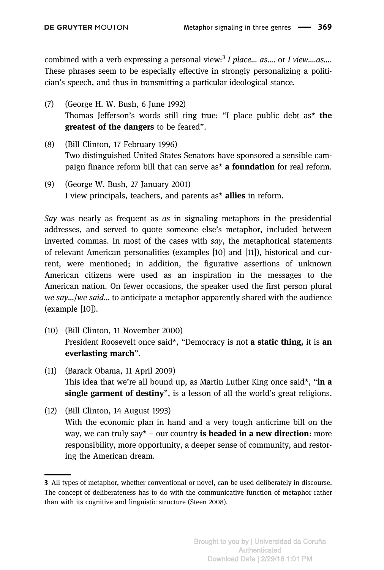combined with a verb expressing a personal view:<sup>3</sup> I place... as.... or I view....as.... These phrases seem to be especially effective in strongly personalizing a politician's speech, and thus in transmitting a particular ideological stance.

- (7) (George H. W. Bush, 6 June 1992) Thomas Jefferson's words still ring true: "I place public debt as  $*$  the greatest of the dangers to be feared".
- (8) (Bill Clinton, 17 February 1996) Two distinguished United States Senators have sponsored a sensible campaign finance reform bill that can serve as<sup>\*</sup> a foundation for real reform.
- (9) (George W. Bush, 27 January 2001) I view principals, teachers, and parents as\* allies in reform.

Say was nearly as frequent as  $as$  in signaling metaphors in the presidential addresses, and served to quote someone else's metaphor, included between inverted commas. In most of the cases with  $say$ , the metaphorical statements of relevant American personalities (examples [10] and [11]), historical and current, were mentioned; in addition, the figurative assertions of unknown American citizens were used as an inspiration in the messages to the American nation. On fewer occasions, the speaker used the first person plural we say.../we said... to anticipate a metaphor apparently shared with the audience (example [10]).

- (10) (Bill Clinton, 11 November 2000) President Roosevelt once said\*, "Democracy is not a static thing, it is an everlasting march".
- (11) (Barack Obama, 11 April 2009) This idea that we're all bound up, as Martin Luther King once said\*, "in a single garment of destiny", is a lesson of all the world's great religions.
- (12) (Bill Clinton, 14 August 1993) With the economic plan in hand and a very tough anticrime bill on the way, we can truly say<sup>\*</sup> – our country **is headed in a new direction**: more responsibility, more opportunity, a deeper sense of community, and restoring the American dream.

<sup>3</sup> All types of metaphor, whether conventional or novel, can be used deliberately in discourse. The concept of deliberateness has to do with the communicative function of metaphor rather than with its cognitive and linguistic structure (Steen 2008).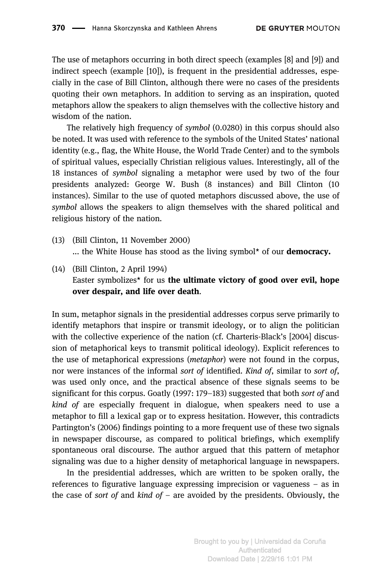The use of metaphors occurring in both direct speech (examples [8] and [9]) and indirect speech (example [10]), is frequent in the presidential addresses, especially in the case of Bill Clinton, although there were no cases of the presidents quoting their own metaphors. In addition to serving as an inspiration, quoted metaphors allow the speakers to align themselves with the collective history and wisdom of the nation.

The relatively high frequency of symbol (0.0280) in this corpus should also be noted. It was used with reference to the symbols of the United States' national identity (e.g., flag, the White House, the World Trade Center) and to the symbols of spiritual values, especially Christian religious values. Interestingly, all of the 18 instances of symbol signaling a metaphor were used by two of the four presidents analyzed: George W. Bush (8 instances) and Bill Clinton (10 instances). Similar to the use of quoted metaphors discussed above, the use of symbol allows the speakers to align themselves with the shared political and religious history of the nation.

- (13) (Bill Clinton, 11 November 2000) ... the White House has stood as the living symbol<sup>\*</sup> of our **democracy.**
- (14) (Bill Clinton, 2 April 1994) Easter symbolizes\* for us the ultimate victory of good over evil, hope over despair, and life over death.

In sum, metaphor signals in the presidential addresses corpus serve primarily to identify metaphors that inspire or transmit ideology, or to align the politician with the collective experience of the nation (cf. Charteris-Black's [2004] discussion of metaphorical keys to transmit political ideology). Explicit references to the use of metaphorical expressions (metaphor) were not found in the corpus, nor were instances of the informal sort of identified. Kind of, similar to sort of, was used only once, and the practical absence of these signals seems to be significant for this corpus. Goatly (1997: 179–183) suggested that both sort of and kind of are especially frequent in dialogue, when speakers need to use a metaphor to fill a lexical gap or to express hesitation. However, this contradicts Partington's (2006) findings pointing to a more frequent use of these two signals in newspaper discourse, as compared to political briefings, which exemplify spontaneous oral discourse. The author argued that this pattern of metaphor signaling was due to a higher density of metaphorical language in newspapers.

In the presidential addresses, which are written to be spoken orally, the references to figurative language expressing imprecision or vagueness – as in the case of sort of and kind of – are avoided by the presidents. Obviously, the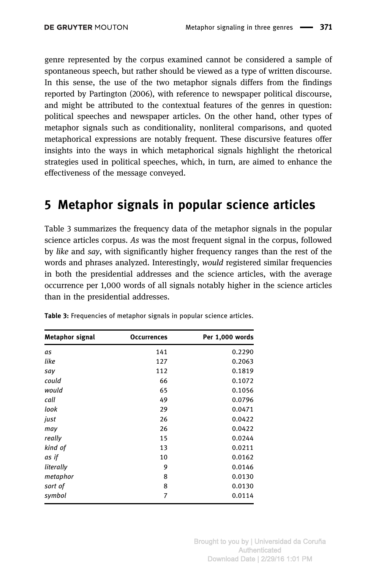genre represented by the corpus examined cannot be considered a sample of spontaneous speech, but rather should be viewed as a type of written discourse. In this sense, the use of the two metaphor signals differs from the findings reported by Partington (2006), with reference to newspaper political discourse, and might be attributed to the contextual features of the genres in question: political speeches and newspaper articles. On the other hand, other types of metaphor signals such as conditionality, nonliteral comparisons, and quoted metaphorical expressions are notably frequent. These discursive features offer insights into the ways in which metaphorical signals highlight the rhetorical strategies used in political speeches, which, in turn, are aimed to enhance the effectiveness of the message conveyed.

# 5 Metaphor signals in popular science articles

Table 3 summarizes the frequency data of the metaphor signals in the popular science articles corpus. As was the most frequent signal in the corpus, followed by like and say, with significantly higher frequency ranges than the rest of the words and phrases analyzed. Interestingly, would registered similar frequencies in both the presidential addresses and the science articles, with the average occurrence per 1,000 words of all signals notably higher in the science articles than in the presidential addresses.

| Metaphor signal | <b>Occurrences</b> | Per 1,000 words |
|-----------------|--------------------|-----------------|
| as              | 141                | 0.2290          |
| like            | 127                | 0.2063          |
| say             | 112                | 0.1819          |
| could           | 66                 | 0.1072          |
| would           | 65                 | 0.1056          |
| call            | 49                 | 0.0796          |
| look            | 29                 | 0.0471          |
| just            | 26                 | 0.0422          |
| may             | 26                 | 0.0422          |
| really          | 15                 | 0.0244          |
| kind of         | 13                 | 0.0211          |
| as if           | 10                 | 0.0162          |
| literally       | 9                  | 0.0146          |
| metaphor        | 8                  | 0.0130          |
| sort of         | 8                  | 0.0130          |
| symbol          | 7                  | 0.0114          |

Table 3: Frequencies of metaphor signals in popular science articles.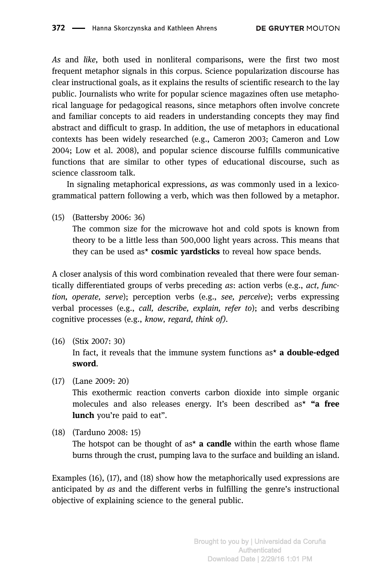As and like, both used in nonliteral comparisons, were the first two most frequent metaphor signals in this corpus. Science popularization discourse has clear instructional goals, as it explains the results of scientific research to the lay public. Journalists who write for popular science magazines often use metaphorical language for pedagogical reasons, since metaphors often involve concrete and familiar concepts to aid readers in understanding concepts they may find abstract and difficult to grasp. In addition, the use of metaphors in educational contexts has been widely researched (e.g., Cameron 2003; Cameron and Low 2004; Low et al. 2008), and popular science discourse fulfills communicative functions that are similar to other types of educational discourse, such as science classroom talk.

In signaling metaphorical expressions, as was commonly used in a lexicogrammatical pattern following a verb, which was then followed by a metaphor.

(15) (Battersby 2006: 36)

The common size for the microwave hot and cold spots is known from theory to be a little less than 500,000 light years across. This means that they can be used as\* cosmic yardsticks to reveal how space bends.

A closer analysis of this word combination revealed that there were four semantically differentiated groups of verbs preceding as: action verbs (e.g., act, function, operate, serve); perception verbs (e.g., see, perceive); verbs expressing verbal processes (e.g., call, describe, explain, refer to); and verbs describing cognitive processes (e.g., know, regard, think of).

- (16) (Stix 2007: 30) In fact, it reveals that the immune system functions  $as<sup>*</sup>$  a double-edged sword.
- (17) (Lane 2009: 20)

This exothermic reaction converts carbon dioxide into simple organic molecules and also releases energy. It's been described as<sup>\*</sup> "a free lunch you're paid to eat".

(18) (Tarduno 2008: 15)

The hotspot can be thought of  $as^*$  a candle within the earth whose flame burns through the crust, pumping lava to the surface and building an island.

Examples (16), (17), and (18) show how the metaphorically used expressions are anticipated by as and the different verbs in fulfilling the genre's instructional objective of explaining science to the general public.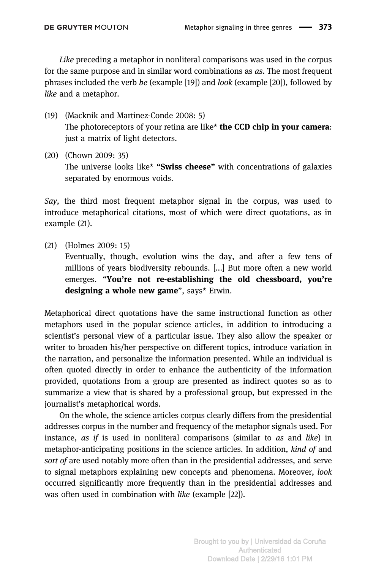Like preceding a metaphor in nonliteral comparisons was used in the corpus for the same purpose and in similar word combinations as as. The most frequent phrases included the verb be (example [19]) and look (example [20]), followed by like and a metaphor.

- (19) (Macknik and Martinez-Conde 2008: 5) The photoreceptors of your retina are like\* the CCD chip in your camera: just a matrix of light detectors.
- (20) (Chown 2009: 35)

The universe looks like\* "Swiss cheese" with concentrations of galaxies separated by enormous voids.

Say, the third most frequent metaphor signal in the corpus, was used to introduce metaphorical citations, most of which were direct quotations, as in example (21).

(21) (Holmes 2009: 15)

Eventually, though, evolution wins the day, and after a few tens of millions of years biodiversity rebounds. [...] But more often a new world emerges. "You're not re-establishing the old chessboard, you're designing a whole new game", says\* Erwin.

Metaphorical direct quotations have the same instructional function as other metaphors used in the popular science articles, in addition to introducing a scientist's personal view of a particular issue. They also allow the speaker or writer to broaden his/her perspective on different topics, introduce variation in the narration, and personalize the information presented. While an individual is often quoted directly in order to enhance the authenticity of the information provided, quotations from a group are presented as indirect quotes so as to summarize a view that is shared by a professional group, but expressed in the journalist's metaphorical words.

On the whole, the science articles corpus clearly differs from the presidential addresses corpus in the number and frequency of the metaphor signals used. For instance, as if is used in nonliteral comparisons (similar to as and like) in metaphor-anticipating positions in the science articles. In addition, kind of and sort of are used notably more often than in the presidential addresses, and serve to signal metaphors explaining new concepts and phenomena. Moreover, look occurred significantly more frequently than in the presidential addresses and was often used in combination with like (example [22]).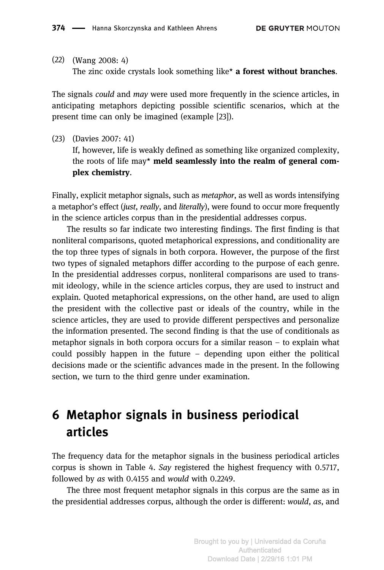(22) (Wang 2008: 4)

The zinc oxide crystals look something like\* a forest without branches.

The signals *could* and *may* were used more frequently in the science articles, in anticipating metaphors depicting possible scientific scenarios, which at the present time can only be imagined (example [23]).

(23) (Davies 2007: 41) If, however, life is weakly defined as something like organized complexity, the roots of life may\* meld seamlessly into the realm of general complex chemistry.

Finally, explicit metaphor signals, such as metaphor, as well as words intensifying a metaphor's effect (just, really, and literally), were found to occur more frequently in the science articles corpus than in the presidential addresses corpus.

The results so far indicate two interesting findings. The first finding is that nonliteral comparisons, quoted metaphorical expressions, and conditionality are the top three types of signals in both corpora. However, the purpose of the first two types of signaled metaphors differ according to the purpose of each genre. In the presidential addresses corpus, nonliteral comparisons are used to transmit ideology, while in the science articles corpus, they are used to instruct and explain. Quoted metaphorical expressions, on the other hand, are used to align the president with the collective past or ideals of the country, while in the science articles, they are used to provide different perspectives and personalize the information presented. The second finding is that the use of conditionals as metaphor signals in both corpora occurs for a similar reason – to explain what could possibly happen in the future – depending upon either the political decisions made or the scientific advances made in the present. In the following section, we turn to the third genre under examination.

# 6 Metaphor signals in business periodical articles

The frequency data for the metaphor signals in the business periodical articles corpus is shown in Table 4. Say registered the highest frequency with 0.5717, followed by as with 0.4155 and would with 0.2249.

The three most frequent metaphor signals in this corpus are the same as in the presidential addresses corpus, although the order is different: would, as, and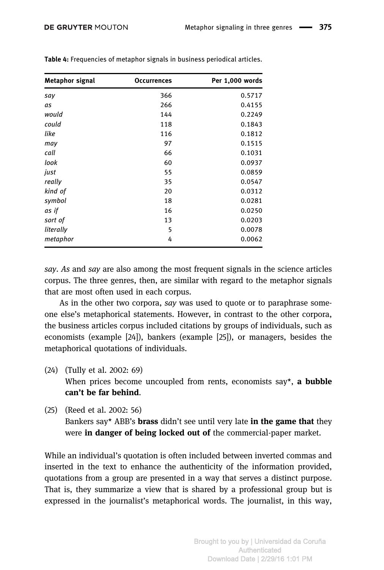| Metaphor signal | <b>Occurrences</b> | Per 1,000 words |
|-----------------|--------------------|-----------------|
| say             | 366                | 0.5717          |
| as              | 266                | 0.4155          |
| would           | 144                | 0.2249          |
| could           | 118                | 0.1843          |
| like            | 116                | 0.1812          |
| may             | 97                 | 0.1515          |
| call            | 66                 | 0.1031          |
| look            | 60                 | 0.0937          |
| just            | 55                 | 0.0859          |
| really          | 35                 | 0.0547          |
| kind of         | 20                 | 0.0312          |
| symbol          | 18                 | 0.0281          |
| as if           | 16                 | 0.0250          |
| sort of         | 13                 | 0.0203          |
| literally       | 5                  | 0.0078          |
| metaphor        | 4                  | 0.0062          |

Table 4: Frequencies of metaphor signals in business periodical articles.

say. As and say are also among the most frequent signals in the science articles corpus. The three genres, then, are similar with regard to the metaphor signals that are most often used in each corpus.

As in the other two corpora, say was used to quote or to paraphrase someone else's metaphorical statements. However, in contrast to the other corpora, the business articles corpus included citations by groups of individuals, such as economists (example [24]), bankers (example [25]), or managers, besides the metaphorical quotations of individuals.

(24) (Tully et al. 2002: 69) When prices become uncoupled from rents, economists say<sup>\*</sup>, a bubble can't be far behind.

(25) (Reed et al. 2002: 56) Bankers say\* ABB's **brass** didn't see until very late in the game that they were in danger of being locked out of the commercial-paper market.

While an individual's quotation is often included between inverted commas and inserted in the text to enhance the authenticity of the information provided, quotations from a group are presented in a way that serves a distinct purpose. That is, they summarize a view that is shared by a professional group but is expressed in the journalist's metaphorical words. The journalist, in this way,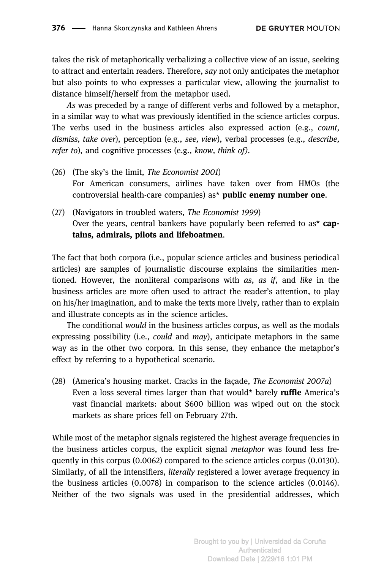takes the risk of metaphorically verbalizing a collective view of an issue, seeking to attract and entertain readers. Therefore,  $say$  not only anticipates the metaphor but also points to who expresses a particular view, allowing the journalist to distance himself/herself from the metaphor used.

As was preceded by a range of different verbs and followed by a metaphor, in a similar way to what was previously identified in the science articles corpus. The verbs used in the business articles also expressed action (e.g., count, dismiss, take over), perception (e.g., see, view), verbal processes (e.g., *describe*, refer to), and cognitive processes (e.g., know, think of).

- (26) (The sky's the limit, The Economist 2001) For American consumers, airlines have taken over from HMOs (the controversial health-care companies) as\* public enemy number one.
- (27) (Navigators in troubled waters, The Economist 1999) Over the years, central bankers have popularly been referred to as<sup>\*</sup> captains, admirals, pilots and lifeboatmen.

The fact that both corpora (i.e., popular science articles and business periodical articles) are samples of journalistic discourse explains the similarities mentioned. However, the nonliteral comparisons with  $as$ ,  $as$  if, and like in the business articles are more often used to attract the reader's attention, to play on his/her imagination, and to make the texts more lively, rather than to explain and illustrate concepts as in the science articles.

The conditional would in the business articles corpus, as well as the modals expressing possibility (i.e., *could* and *may*), anticipate metaphors in the same way as in the other two corpora. In this sense, they enhance the metaphor's effect by referring to a hypothetical scenario.

(28) (America's housing market. Cracks in the façade, The Economist 2007a) Even a loss several times larger than that would\* barely ruffle America's vast financial markets: about \$600 billion was wiped out on the stock markets as share prices fell on February 27th.

While most of the metaphor signals registered the highest average frequencies in the business articles corpus, the explicit signal metaphor was found less frequently in this corpus (0.0062) compared to the science articles corpus (0.0130). Similarly, of all the intensifiers, literally registered a lower average frequency in the business articles (0.0078) in comparison to the science articles (0.0146). Neither of the two signals was used in the presidential addresses, which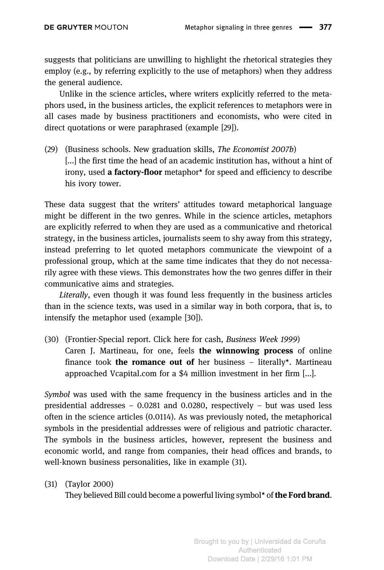suggests that politicians are unwilling to highlight the rhetorical strategies they employ (e.g., by referring explicitly to the use of metaphors) when they address the general audience.

Unlike in the science articles, where writers explicitly referred to the metaphors used, in the business articles, the explicit references to metaphors were in all cases made by business practitioners and economists, who were cited in direct quotations or were paraphrased (example [29]).

(29) (Business schools. New graduation skills, The Economist 2007b) [...] the first time the head of an academic institution has, without a hint of irony, used a factory-floor metaphor\* for speed and efficiency to describe his ivory tower.

These data suggest that the writers' attitudes toward metaphorical language might be different in the two genres. While in the science articles, metaphors are explicitly referred to when they are used as a communicative and rhetorical strategy, in the business articles, journalists seem to shy away from this strategy, instead preferring to let quoted metaphors communicate the viewpoint of a professional group, which at the same time indicates that they do not necessarily agree with these views. This demonstrates how the two genres differ in their communicative aims and strategies.

Literally, even though it was found less frequently in the business articles than in the science texts, was used in a similar way in both corpora, that is, to intensify the metaphor used (example [30]).

(30) (Frontier-Special report. Click here for cash, Business Week 1999) Caren J. Martineau, for one, feels the winnowing process of online finance took **the romance out of** her business  $-$  literally\*. Martineau approached Vcapital.com for a \$4 million investment in her firm [...].

Symbol was used with the same frequency in the business articles and in the presidential addresses  $-0.0281$  and 0.0280, respectively  $-$  but was used less often in the science articles (0.0114). As was previously noted, the metaphorical symbols in the presidential addresses were of religious and patriotic character. The symbols in the business articles, however, represent the business and economic world, and range from companies, their head offices and brands, to well-known business personalities, like in example (31).

(31) (Taylor 2000)

They believed Bill could become a powerful living symbol<sup>\*</sup> of **the Ford brand.**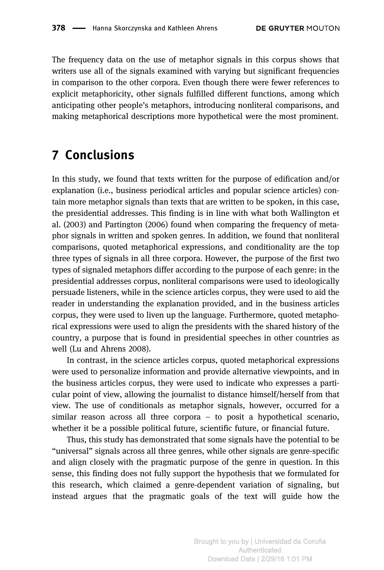The frequency data on the use of metaphor signals in this corpus shows that writers use all of the signals examined with varying but significant frequencies in comparison to the other corpora. Even though there were fewer references to explicit metaphoricity, other signals fulfilled different functions, among which anticipating other people's metaphors, introducing nonliteral comparisons, and making metaphorical descriptions more hypothetical were the most prominent.

#### 7 Conclusions

In this study, we found that texts written for the purpose of edification and/or explanation (i.e., business periodical articles and popular science articles) contain more metaphor signals than texts that are written to be spoken, in this case, the presidential addresses. This finding is in line with what both Wallington et al. (2003) and Partington (2006) found when comparing the frequency of metaphor signals in written and spoken genres. In addition, we found that nonliteral comparisons, quoted metaphorical expressions, and conditionality are the top three types of signals in all three corpora. However, the purpose of the first two types of signaled metaphors differ according to the purpose of each genre: in the presidential addresses corpus, nonliteral comparisons were used to ideologically persuade listeners, while in the science articles corpus, they were used to aid the reader in understanding the explanation provided, and in the business articles corpus, they were used to liven up the language. Furthermore, quoted metaphorical expressions were used to align the presidents with the shared history of the country, a purpose that is found in presidential speeches in other countries as well (Lu and Ahrens 2008).

In contrast, in the science articles corpus, quoted metaphorical expressions were used to personalize information and provide alternative viewpoints, and in the business articles corpus, they were used to indicate who expresses a particular point of view, allowing the journalist to distance himself/herself from that view. The use of conditionals as metaphor signals, however, occurred for a similar reason across all three corpora – to posit a hypothetical scenario, whether it be a possible political future, scientific future, or financial future.

Thus, this study has demonstrated that some signals have the potential to be "universal" signals across all three genres, while other signals are genre-specific and align closely with the pragmatic purpose of the genre in question. In this sense, this finding does not fully support the hypothesis that we formulated for this research, which claimed a genre-dependent variation of signaling, but instead argues that the pragmatic goals of the text will guide how the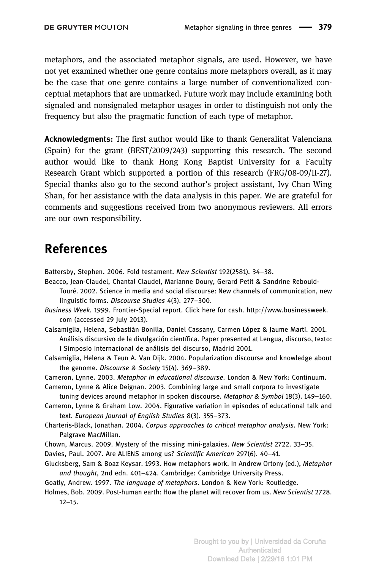metaphors, and the associated metaphor signals, are used. However, we have not yet examined whether one genre contains more metaphors overall, as it may be the case that one genre contains a large number of conventionalized conceptual metaphors that are unmarked. Future work may include examining both signaled and nonsignaled metaphor usages in order to distinguish not only the frequency but also the pragmatic function of each type of metaphor.

**Acknowledgments:** The first author would like to thank Generalitat Valenciana (Spain) for the grant (BEST/2009/243) supporting this research. The second author would like to thank Hong Kong Baptist University for a Faculty Research Grant which supported a portion of this research (FRG/08-09/II-27). Special thanks also go to the second author's project assistant, Ivy Chan Wing Shan, for her assistance with the data analysis in this paper. We are grateful for comments and suggestions received from two anonymous reviewers. All errors are our own responsibility.

## References

Battersby, Stephen. 2006. Fold testament. New Scientist 192(2581). 34–38.

Beacco, Jean-Claudel, Chantal Claudel, Marianne Doury, Gerard Petit & Sandrine Rebould-Touré. 2002. Science in media and social discourse: New channels of communication, new

linguistic forms. Discourse Studies 4(3). 277–300.

Business Week. 1999. Frontier-Special report. Click here for cash. [http://www.businessweek.](http://www.businessweek.com) [com](http://www.businessweek.com) (accessed 29 July 2013).

Calsamiglia, Helena, Sebastián Bonilla, Daniel Cassany, Carmen López & Jaume Martí. 2001. Análisis discursivo de la divulgación científica. Paper presented at Lengua, discurso, texto: I Simposio internacional de análisis del discurso, Madrid 2001.

Calsamiglia, Helena & Teun A. Van Dijk. 2004. Popularization discourse and knowledge about the genome. Discourse & Society 15(4). 369–389.

Cameron, Lynne. 2003. Metaphor in educational discourse. London & New York: Continuum. Cameron, Lynne & Alice Deignan. 2003. Combining large and small corpora to investigate

tuning devices around metaphor in spoken discourse. Metaphor & Symbol 18(3). 149–160.

- Cameron, Lynne & Graham Low. 2004. Figurative variation in episodes of educational talk and text. European Journal of English Studies 8(3). 355–373.
- Charteris-Black, Jonathan. 2004. Corpus approaches to critical metaphor analysis. New York: Palgrave MacMillan.
- Chown, Marcus. 2009. Mystery of the missing mini-galaxies. New Scientist 2722. 33–35.

Davies, Paul. 2007. Are ALIENS among us? Scientific American 297(6). 40–41.

Glucksberg, Sam & Boaz Keysar. 1993. How metaphors work. In Andrew Ortony (ed.), Metaphor and thought, 2nd edn. 401–424. Cambridge: Cambridge University Press.

- Goatly, Andrew. 1997. The language of metaphors. London & New York: Routledge.
- Holmes, Bob. 2009. Post-human earth: How the planet will recover from us. New Scientist 2728. 12–15.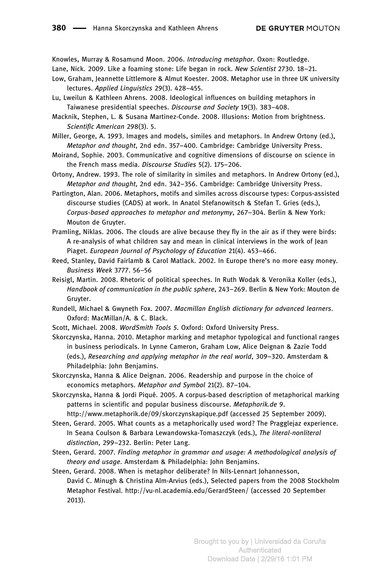Knowles, Murray & Rosamund Moon. 2006. Introducing metaphor. Oxon: Routledge. Lane, Nick. 2009. Like a foaming stone: Life began in rock. New Scientist 2730. 18–21.

- Low, Graham, Jeannette Littlemore & Almut Koester. 2008. Metaphor use in three UK university lectures. Applied Linguistics 29(3). 428–455.
- Lu, Lweilun & Kathleen Ahrens. 2008. Ideological influences on building metaphors in Taiwanese presidential speeches. Discourse and Society 19(3). 383–408.
- Macknik, Stephen, L. & Susana Martinez-Conde. 2008. Illusions: Motion from brightness. Scientific American 298(3). 5.
- Miller, George, A. 1993. Images and models, similes and metaphors. In Andrew Ortony (ed.), Metaphor and thought, 2nd edn. 357–400. Cambridge: Cambridge University Press.
- Moirand, Sophie. 2003. Communicative and cognitive dimensions of discourse on science in the French mass media. Discourse Studies 5(2). 175–206.
- Ortony, Andrew. 1993. The role of similarity in similes and metaphors. In Andrew Ortony (ed.), Metaphor and thought, 2nd edn. 342–356. Cambridge: Cambridge University Press.
- Partington, Alan. 2006. Metaphors, motifs and similes across discourse types: Corpus-assisted discourse studies (CADS) at work. In Anatol Stefanowitsch & Stefan T. Gries (eds.), Corpus-based approaches to metaphor and metonymy, 267–304. Berlin & New York: Mouton de Gruyter.
- Pramling, Niklas. 2006. The clouds are alive because they fly in the air as if they were birds: A re-analysis of what children say and mean in clinical interviews in the work of Jean Piaget. European Journal of Psychology of Education 21(4). 453–466.
- Reed, Stanley, David Fairlamb & Carol Matlack. 2002. In Europe there's no more easy money. Business Week 3777. 56–56
- Reisigl, Martin. 2008. Rhetoric of political speeches. In Ruth Wodak & Veronika Koller (eds.), Handbook of communication in the public sphere, 243–269. Berlin & New York: Mouton de Gruyter.
- Rundell, Michael & Gwyneth Fox. 2007. Macmillan English dictionary for advanced learners. Oxford: MacMillan/A. & C. Black.
- Scott, Michael. 2008. WordSmith Tools 5. Oxford: Oxford University Press.
- Skorczynska, Hanna. 2010. Metaphor marking and metaphor typological and functional ranges in business periodicals. In Lynne Cameron, Graham Low, Alice Deignan & Zazie Todd (eds.), Researching and applying metaphor in the real world, 309–320. Amsterdam & Philadelphia: John Benjamins.
- Skorczynska, Hanna & Alice Deignan. 2006. Readership and purpose in the choice of economics metaphors. Metaphor and Symbol 21(2). 87–104.
- Skorczynska, Hanna & Jordi Piqué. 2005. A corpus-based description of metaphorical marking patterns in scientific and popular business discourse. Metaphorik.de 9. <http://www.metaphorik.de/09/skorczynskapique.pdf> (accessed 25 September 2009).
- Steen, Gerard. 2005. What counts as a metaphorically used word? The Pragglejaz experience. In Seana Coulson & Barbara Lewandowska-Tomaszczyk (eds.), The literal-nonliteral distinction, 299–232. Berlin: Peter Lang.
- Steen, Gerard. 2007. Finding metaphor in grammar and usage: A methodological analysis of theory and usage. Amsterdam & Philadelphia: John Benjamins.
- Steen, Gerard. 2008. When is metaphor deliberate? In Nils-Lennart Johannesson, David C. Minugh & Christina Alm-Arvius (eds.), Selected papers from the 2008 Stockholm Metaphor Festival.<http://vu-nl.academia.edu/GerardSteen/> (accessed 20 September 2013).